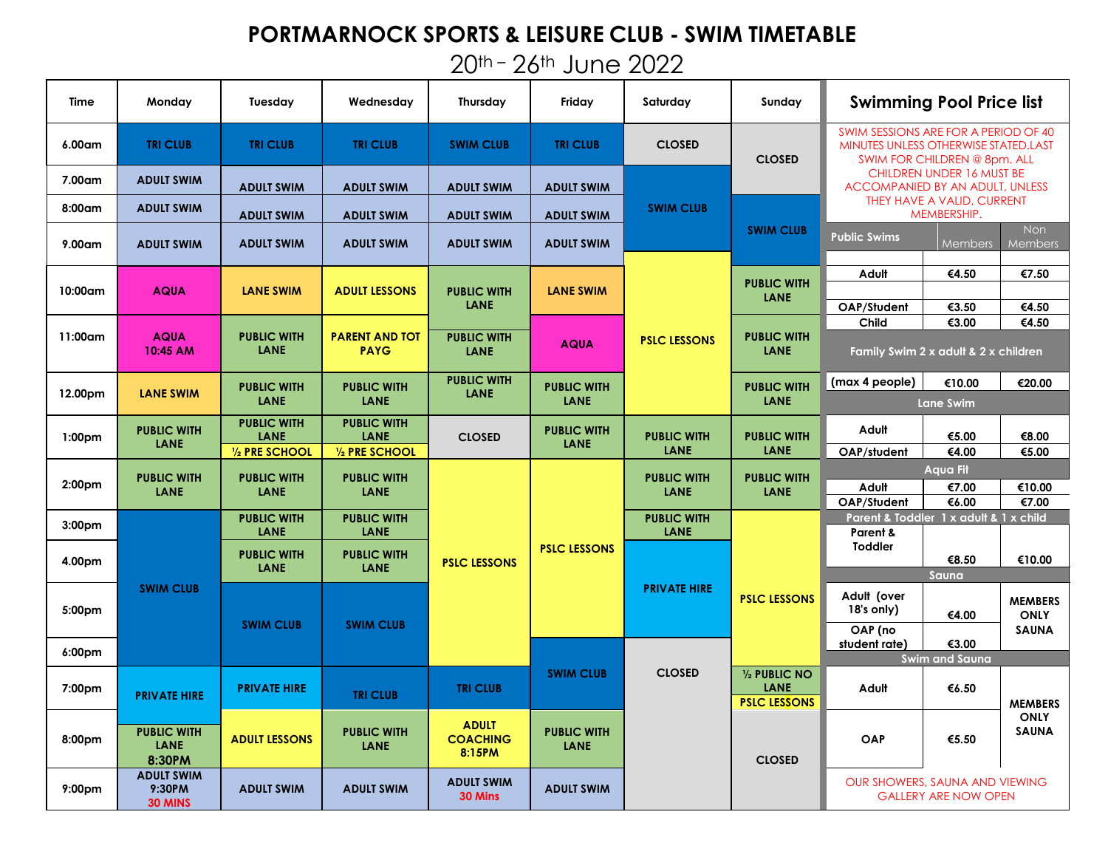## **PORTMARNOCK SPORTS & LEISURE CLUB - SWIM TIMETABLE**

# 20th – 26th June 2022

| Time               | Monday                                      | Tuesday                    | Wednesday                            | <b>Thursday</b>                           | Friday                            | Saturday                   | Sundav                                              | <b>Swimming Pool Price list</b>                                                                              |                                  |                               |
|--------------------|---------------------------------------------|----------------------------|--------------------------------------|-------------------------------------------|-----------------------------------|----------------------------|-----------------------------------------------------|--------------------------------------------------------------------------------------------------------------|----------------------------------|-------------------------------|
| 6.00am             | <b>TRI CLUB</b>                             | <b>TRI CLUB</b>            | <b>TRI CLUB</b>                      | <b>SWIM CLUB</b>                          | <b>TRI CLUB</b>                   | <b>CLOSED</b>              | <b>CLOSED</b>                                       | SWIM SESSIONS ARE FOR A PERIOD OF 40<br>MINUTES UNLESS OTHERWISE STATED.LAST<br>SWIM FOR CHILDREN @ 8pm, ALL |                                  |                               |
| 7.00am             | <b>ADULT SWIM</b>                           | <b>ADULT SWIM</b>          | <b>ADULT SWIM</b>                    | <b>ADULT SWIM</b>                         | <b>ADULT SWIM</b>                 |                            |                                                     | <b>ACCOMPANIED BY AN ADULT, UNLESS</b>                                                                       | <b>CHILDREN UNDER 16 MUST BE</b> |                               |
| 8:00am             | <b>ADULT SWIM</b>                           | <b>ADULT SWIM</b>          | <b>ADULT SWIM</b>                    | <b>ADULT SWIM</b>                         | <b>ADULT SWIM</b>                 | <b>SWIM CLUB</b>           |                                                     | THEY HAVE A VALID, CURRENT<br>MEMBERSHIP.                                                                    |                                  |                               |
| 9.00am             | <b>ADULT SWIM</b>                           | <b>ADULT SWIM</b>          | <b>ADULT SWIM</b>                    | <b>ADULT SWIM</b>                         | <b>ADULT SWIM</b>                 |                            | <b>SWIM CLUB</b>                                    | <b>Public Swims</b>                                                                                          | <b>Members</b>                   | Non<br>Members                |
| 10:00am            | <b>AQUA</b>                                 | <b>LANE SWIM</b>           | <b>ADULT LESSONS</b>                 | <b>PUBLIC WITH</b><br>LANE                | <b>LANE SWIM</b>                  |                            | <b>PUBLIC WITH</b><br><b>LANE</b>                   | Adult<br>OAP/Student                                                                                         | €4.50<br>€3.50                   | €7.50<br>€4.50                |
|                    |                                             |                            |                                      |                                           |                                   |                            |                                                     | Child                                                                                                        | €3.00                            | €4.50                         |
| 11:00am            | <b>AQUA</b><br>10:45 AM                     | <b>PUBLIC WITH</b><br>LANE | <b>PARENT AND TOT</b><br><b>PAYG</b> | <b>PUBLIC WITH</b><br>LANE                | <b>AQUA</b>                       | <b>PSLC LESSONS</b>        | <b>PUBLIC WITH</b><br><b>LANE</b>                   | Family Swim 2 x adult & 2 x children                                                                         |                                  |                               |
| 12.00pm            | <b>LANE SWIM</b>                            | <b>PUBLIC WITH</b>         | <b>PUBLIC WITH</b>                   | <b>PUBLIC WITH</b><br><b>LANE</b>         | <b>PUBLIC WITH</b>                |                            | <b>PUBLIC WITH</b>                                  | (max 4 people)                                                                                               | €10.00                           | €20.00                        |
|                    |                                             | LANE                       | <b>LANE</b>                          |                                           | <b>LANE</b>                       |                            | <b>LANE</b>                                         | <b>Lane Swim</b>                                                                                             |                                  |                               |
| 1:00 <sub>pm</sub> | <b>PUBLIC WITH</b><br><b>LANE</b>           | <b>PUBLIC WITH</b><br>LANE | <b>PUBLIC WITH</b><br>LANE           | <b>CLOSED</b>                             | <b>PUBLIC WITH</b><br><b>LANE</b> | <b>PUBLIC WITH</b>         | <b>PUBLIC WITH</b>                                  | Adult                                                                                                        | €5.00                            | €8.00                         |
|                    |                                             | 1/2 PRE SCHOOL             | 1/2 PRE SCHOOL                       |                                           |                                   | <b>LANE</b>                | <b>LANE</b>                                         | OAP/student                                                                                                  | €4.00                            | €5.00                         |
| 2:00 <sub>pm</sub> | <b>PUBLIC WITH</b>                          | <b>PUBLIC WITH</b>         | <b>PUBLIC WITH</b>                   |                                           |                                   | <b>PUBLIC WITH</b>         | <b>PUBLIC WITH</b>                                  | Adult                                                                                                        | <b>Aqua Fit</b><br>€7.00         | €10.00                        |
|                    | <b>LANE</b>                                 | LANE                       | <b>LANE</b>                          |                                           |                                   | <b>LANE</b>                | <b>LANE</b>                                         | OAP/Student                                                                                                  | €6.00                            | €7.00                         |
| 3:00 <sub>pm</sub> |                                             | <b>PUBLIC WITH</b><br>LANE | <b>PUBLIC WITH</b><br><b>LANE</b>    |                                           |                                   | <b>PUBLIC WITH</b><br>LANE |                                                     | Parent & Toddler 1 x adult & 1 x child<br>Parent &                                                           |                                  |                               |
|                    |                                             | <b>PUBLIC WITH</b>         | <b>PUBLIC WITH</b>                   |                                           | <b>PSLC LESSONS</b>               |                            |                                                     | <b>Toddler</b>                                                                                               |                                  |                               |
| 4.00pm             |                                             | LANE                       | LANE                                 | <b>PSLC LESSONS</b>                       |                                   |                            |                                                     |                                                                                                              | €8.50<br>Sauna                   | €10.00                        |
| 5:00pm             | <b>SWIM CLUB</b>                            |                            |                                      |                                           |                                   | <b>PRIVATE HIRE</b>        | <b>PSLC LESSONS</b>                                 | Adult (over<br>$18's$ only)                                                                                  | €4.00                            | <b>MEMBERS</b><br><b>ONLY</b> |
|                    |                                             | <b>SWIM CLUB</b>           | <b>SWIM CLUB</b>                     |                                           |                                   |                            |                                                     | OAP (no<br>student rate)                                                                                     | €3.00                            | <b>SAUNA</b>                  |
| 6:00 <sub>pm</sub> |                                             |                            |                                      |                                           |                                   |                            |                                                     |                                                                                                              | <b>Swim and Sauna</b>            |                               |
| 7:00pm             | <b>PRIVATE HIRE</b>                         | <b>PRIVATE HIRE</b>        | <b>TRI CLUB</b>                      | <b>TRI CLUB</b>                           | <b>SWIM CLUB</b>                  | <b>CLOSED</b>              | 1/2 PUBLIC NO<br><b>LANE</b><br><b>PSLC LESSONS</b> | Adult                                                                                                        | €6.50                            | <b>MEMBERS</b>                |
| 8:00pm             | <b>PUBLIC WITH</b><br><b>LANE</b><br>8:30PM | <b>ADULT LESSONS</b>       | <b>PUBLIC WITH</b><br><b>LANE</b>    | <b>ADULT</b><br><b>COACHING</b><br>8:15PM | <b>PUBLIC WITH</b><br><b>LANE</b> |                            | <b>CLOSED</b>                                       | OAP                                                                                                          | €5.50                            | <b>ONLY</b><br><b>SAUNA</b>   |
| 9:00 <sub>pm</sub> | <b>ADULT SWIM</b><br>9:30PM<br>30 MINS      | <b>ADULT SWIM</b>          | <b>ADULT SWIM</b>                    | <b>ADULT SWIM</b><br>30 Mins              | <b>ADULT SWIM</b>                 |                            |                                                     | OUR SHOWERS, SAUNA AND VIEWING                                                                               | <b>GALLERY ARE NOW OPEN</b>      |                               |